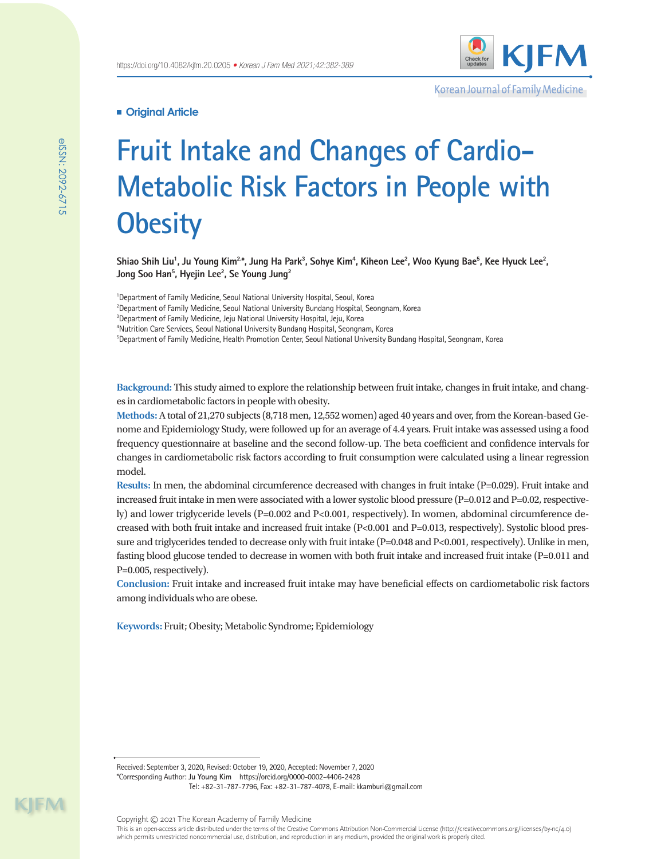

Korean Journal of Family Medicine

# **Original Article**

# **Fruit Intake and Changes of Cardio-Metabolic Risk Factors in People with Obesity**

Shiao Shih Liu<sup>1</sup>, Ju Young Kim<sup>2,</sup>\*, Jung Ha Park<sup>3</sup>, Sohye Kim<sup>4</sup>, Kiheon Lee<sup>2</sup>, Woo Kyung Bae<sup>5</sup>, Kee Hyuck Lee<sup>2</sup>, **Jong Soo Han5 , Hyejin Lee2 , Se Young Jung2**

<sup>1</sup>Department of Family Medicine, Seoul National University Hospital, Seoul, Korea Department of Family Medicine, Seoul National University Bundang Hospital, Seongnam, Korea Department of Family Medicine, Jeju National University Hospital, Jeju, Korea Nutrition Care Services, Seoul National University Bundang Hospital, Seongnam, Korea Department of Family Medicine, Health Promotion Center, Seoul National University Bundang Hospital, Seongnam, Korea

**Background:** This study aimed to explore the relationship between fruit intake, changes in fruit intake, and changes in cardiometabolic factors in people with obesity.

**Methods:** A total of 21,270 subjects (8,718 men, 12,552 women) aged 40 years and over, from the Korean-based Genome and Epidemiology Study, were followed up for an average of 4.4 years. Fruit intake was assessed using a food frequency questionnaire at baseline and the second follow-up. The beta coefficient and confidence intervals for changes in cardiometabolic risk factors according to fruit consumption were calculated using a linear regression model.

**Results:** In men, the abdominal circumference decreased with changes in fruit intake (P=0.029). Fruit intake and increased fruit intake in men were associated with a lower systolic blood pressure (P=0.012 and P=0.02, respectively) and lower triglyceride levels (P=0.002 and P<0.001, respectively). In women, abdominal circumference decreased with both fruit intake and increased fruit intake (P<0.001 and P=0.013, respectively). Systolic blood pressure and triglycerides tended to decrease only with fruit intake (P=0.048 and P<0.001, respectively). Unlike in men, fasting blood glucose tended to decrease in women with both fruit intake and increased fruit intake (P=0.011 and P=0.005, respectively).

**Conclusion:** Fruit intake and increased fruit intake may have beneficial effects on cardiometabolic risk factors among individuals who are obese.

**Keywords:** Fruit; Obesity; Metabolic Syndrome; Epidemiology

Received: September 3, 2020, Revised: October 19, 2020, Accepted: November 7, 2020 \*Corresponding Author: **Ju Young Kim** https://orcid.org/0000-0002-4406-2428 Tel: +82-31-787-7796, Fax: +82-31-787-4078, E-mail: kkamburi@gmail.com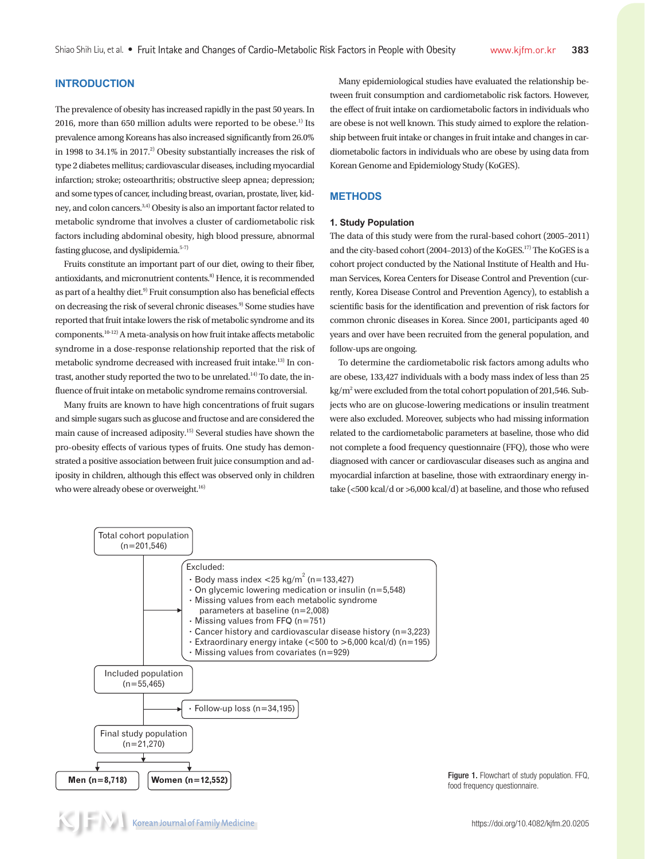# **INTRODUCTION**

The prevalence of obesity has increased rapidly in the past 50 years. In 2016, more than 650 million adults were reported to be obese.<sup>1)</sup> Its prevalence among Koreans has also increased significantly from 26.0% in 1998 to 34.1% in 2017.<sup>2)</sup> Obesity substantially increases the risk of type 2 diabetes mellitus; cardiovascular diseases, including myocardial infarction; stroke; osteoarthritis; obstructive sleep apnea; depression; and some types of cancer, including breast, ovarian, prostate, liver, kidney, and colon cancers.3,4) Obesity is also an important factor related to metabolic syndrome that involves a cluster of cardiometabolic risk factors including abdominal obesity, high blood pressure, abnormal fasting glucose, and dyslipidemia.5-7)

Fruits constitute an important part of our diet, owing to their fiber, antioxidants, and micronutrient contents.8) Hence, it is recommended as part of a healthy diet.<sup>9)</sup> Fruit consumption also has beneficial effects on decreasing the risk of several chronic diseases.<sup>9)</sup> Some studies have reported that fruit intake lowers the risk of metabolic syndrome and its components.10-12) A meta-analysis on how fruit intake affects metabolic syndrome in a dose-response relationship reported that the risk of metabolic syndrome decreased with increased fruit intake.13) In contrast, another study reported the two to be unrelated.<sup>14)</sup> To date, the influence of fruit intake on metabolic syndrome remains controversial.

Many fruits are known to have high concentrations of fruit sugars and simple sugars such as glucose and fructose and are considered the main cause of increased adiposity.15) Several studies have shown the pro-obesity effects of various types of fruits. One study has demonstrated a positive association between fruit juice consumption and adiposity in children, although this effect was observed only in children who were already obese or overweight.<sup>16)</sup>

Many epidemiological studies have evaluated the relationship between fruit consumption and cardiometabolic risk factors. However, the effect of fruit intake on cardiometabolic factors in individuals who are obese is not well known. This study aimed to explore the relationship between fruit intake or changes in fruit intake and changes in cardiometabolic factors in individuals who are obese by using data from Korean Genome and Epidemiology Study (KoGES).

### **METHODS**

#### **1. Study Population**

The data of this study were from the rural-based cohort (2005–2011) and the city-based cohort (2004–2013) of the KoGES.17) The KoGES is a cohort project conducted by the National Institute of Health and Human Services, Korea Centers for Disease Control and Prevention (currently, Korea Disease Control and Prevention Agency), to establish a scientific basis for the identification and prevention of risk factors for common chronic diseases in Korea. Since 2001, participants aged 40 years and over have been recruited from the general population, and follow-ups are ongoing.

To determine the cardiometabolic risk factors among adults who are obese, 133,427 individuals with a body mass index of less than 25 kg/m<sup>2</sup> were excluded from the total cohort population of 201,546. Subjects who are on glucose-lowering medications or insulin treatment were also excluded. Moreover, subjects who had missing information related to the cardiometabolic parameters at baseline, those who did not complete a food frequency questionnaire (FFQ), those who were diagnosed with cancer or cardiovascular diseases such as angina and myocardial infarction at baseline, those with extraordinary energy intake (<500 kcal/d or >6,000 kcal/d) at baseline, and those who refused

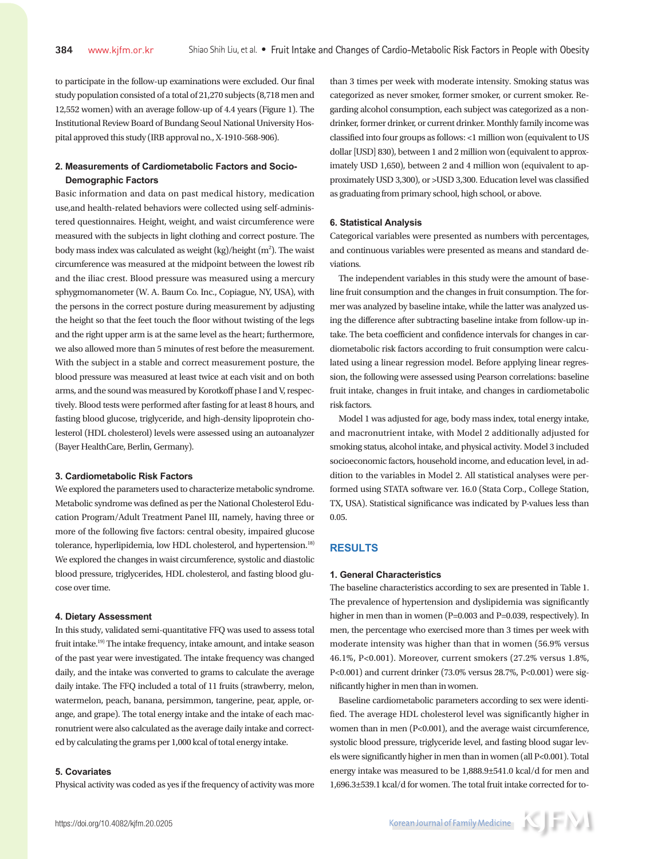to participate in the follow-up examinations were excluded. Our final study population consisted of a total of 21,270 subjects (8,718 men and 12,552 women) with an average follow-up of 4.4 years (Figure 1). The Institutional Review Board of Bundang Seoul National University Hospital approved this study (IRB approval no., X-1910-568-906).

# **2. Measurements of Cardiometabolic Factors and Socio-Demographic Factors**

Basic information and data on past medical history, medication use,and health-related behaviors were collected using self-administered questionnaires. Height, weight, and waist circumference were measured with the subjects in light clothing and correct posture. The body mass index was calculated as weight (kg)/height (m<sup>2</sup>). The waist circumference was measured at the midpoint between the lowest rib and the iliac crest. Blood pressure was measured using a mercury sphygmomanometer (W. A. Baum Co. Inc., Copiague, NY, USA), with the persons in the correct posture during measurement by adjusting the height so that the feet touch the floor without twisting of the legs and the right upper arm is at the same level as the heart; furthermore, we also allowed more than 5 minutes of rest before the measurement. With the subject in a stable and correct measurement posture, the blood pressure was measured at least twice at each visit and on both arms, and the sound was measured by Korotkoff phase I and V, respectively. Blood tests were performed after fasting for at least 8 hours, and fasting blood glucose, triglyceride, and high-density lipoprotein cholesterol (HDL cholesterol) levels were assessed using an autoanalyzer (Bayer HealthCare, Berlin, Germany).

## **3. Cardiometabolic Risk Factors**

We explored the parameters used to characterize metabolic syndrome. Metabolic syndrome was defined as per the National Cholesterol Education Program/Adult Treatment Panel III, namely, having three or more of the following five factors: central obesity, impaired glucose tolerance, hyperlipidemia, low HDL cholesterol, and hypertension.<sup>18)</sup> We explored the changes in waist circumference, systolic and diastolic blood pressure, triglycerides, HDL cholesterol, and fasting blood glucose over time.

## **4. Dietary Assessment**

In this study, validated semi-quantitative FFQ was used to assess total fruit intake.19) The intake frequency, intake amount, and intake season of the past year were investigated. The intake frequency was changed daily, and the intake was converted to grams to calculate the average daily intake. The FFQ included a total of 11 fruits (strawberry, melon, watermelon, peach, banana, persimmon, tangerine, pear, apple, orange, and grape). The total energy intake and the intake of each macronutrient were also calculated as the average daily intake and corrected by calculating the grams per 1,000 kcal of total energy intake.

## **5. Covariates**

Physical activity was coded as yes if the frequency of activity was more

than 3 times per week with moderate intensity. Smoking status was categorized as never smoker, former smoker, or current smoker. Regarding alcohol consumption, each subject was categorized as a nondrinker, former drinker, or current drinker. Monthly family income was classified into four groups as follows: <1 million won (equivalent to US dollar [USD] 830), between 1 and 2 million won (equivalent to approximately USD 1,650), between 2 and 4 million won (equivalent to approximately USD 3,300), or >USD 3,300. Education level was classified as graduating from primary school, high school, or above.

#### **6. Statistical Analysis**

Categorical variables were presented as numbers with percentages, and continuous variables were presented as means and standard deviations.

The independent variables in this study were the amount of baseline fruit consumption and the changes in fruit consumption. The former was analyzed by baseline intake, while the latter was analyzed using the difference after subtracting baseline intake from follow-up intake. The beta coefficient and confidence intervals for changes in cardiometabolic risk factors according to fruit consumption were calculated using a linear regression model. Before applying linear regression, the following were assessed using Pearson correlations: baseline fruit intake, changes in fruit intake, and changes in cardiometabolic risk factors.

Model 1 was adjusted for age, body mass index, total energy intake, and macronutrient intake, with Model 2 additionally adjusted for smoking status, alcohol intake, and physical activity. Model 3 included socioeconomic factors, household income, and education level, in addition to the variables in Model 2. All statistical analyses were performed using STATA software ver. 16.0 (Stata Corp., College Station, TX, USA). Statistical significance was indicated by P-values less than 0.05.

# **RESULTS**

#### **1. General Characteristics**

The baseline characteristics according to sex are presented in Table 1. The prevalence of hypertension and dyslipidemia was significantly higher in men than in women (P=0.003 and P=0.039, respectively). In men, the percentage who exercised more than 3 times per week with moderate intensity was higher than that in women (56.9% versus 46.1%, P<0.001). Moreover, current smokers (27.2% versus 1.8%, P<0.001) and current drinker (73.0% versus 28.7%, P<0.001) were significantly higher in men than in women.

Baseline cardiometabolic parameters according to sex were identified. The average HDL cholesterol level was significantly higher in women than in men (P<0.001), and the average waist circumference, systolic blood pressure, triglyceride level, and fasting blood sugar levels were significantly higher in men than in women (all P<0.001). Total energy intake was measured to be 1,888.9±541.0 kcal/d for men and 1,696.3±539.1 kcal/d for women. The total fruit intake corrected for to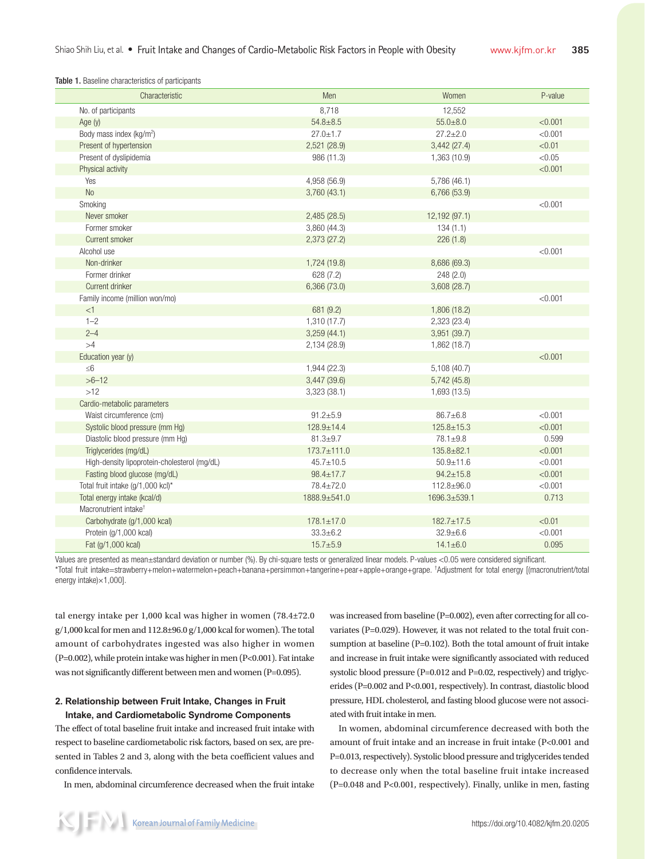Table 1. Baseline characteristics of participants

| Characteristic                               | Men               | Women            | P-value |
|----------------------------------------------|-------------------|------------------|---------|
| No. of participants                          | 8,718             | 12,552           |         |
| Age $(y)$                                    | $54.8 + 8.5$      | $55.0 + 8.0$     | < 0.001 |
| Body mass index (kg/m <sup>2</sup> )         | $27.0 \pm 1.7$    | $27.2 \pm 2.0$   | < 0.001 |
| Present of hypertension                      | 2,521 (28.9)      | 3,442(27.4)      | < 0.01  |
| Present of dyslipidemia                      | 986 (11.3)        | 1,363 (10.9)     | < 0.05  |
| Physical activity                            |                   |                  | < 0.001 |
| Yes                                          | 4,958 (56.9)      | 5,786 (46.1)     |         |
| <b>No</b>                                    | 3,760(43.1)       | 6,766 (53.9)     |         |
| Smoking                                      |                   |                  | < 0.001 |
| Never smoker                                 | 2,485(28.5)       | 12,192 (97.1)    |         |
| Former smoker                                | 3,860 (44.3)      | 134(1.1)         |         |
| Current smoker                               | 2,373 (27.2)      | 226(1.8)         |         |
| Alcohol use                                  |                   |                  | < 0.001 |
| Non-drinker                                  | 1,724 (19.8)      | 8,686 (69.3)     |         |
| Former drinker                               | 628(7.2)          | 248(2.0)         |         |
| Current drinker                              | 6,366 (73.0)      | 3,608 (28.7)     |         |
| Family income (million won/mo)               |                   |                  | < 0.001 |
| $<1\,$                                       | 681 (9.2)         | 1,806 (18.2)     |         |
| $1 - 2$                                      | 1,310 (17.7)      | 2,323 (23.4)     |         |
| $2 - 4$                                      | 3,259(44.1)       | 3,951 (39.7)     |         |
| >4                                           | 2,134 (28.9)      | 1,862 (18.7)     |         |
| Education year (y)                           |                   |                  | < 0.001 |
| $\leq 6$                                     | 1,944 (22.3)      | 5,108 (40.7)     |         |
| $>6 - 12$                                    | 3,447 (39.6)      | 5,742(45.8)      |         |
| $>12$                                        | 3,323 (38.1)      | 1,693 (13.5)     |         |
| Cardio-metabolic parameters                  |                   |                  |         |
| Waist circumference (cm)                     | $91.2 + 5.9$      | $86.7 \pm 6.8$   | < 0.001 |
| Systolic blood pressure (mm Hg)              | $128.9 + 14.4$    | $125.8 + 15.3$   | < 0.001 |
| Diastolic blood pressure (mm Hg)             | $81.3 \pm 9.7$    | $78.1 \pm 9.8$   | 0.599   |
| Triglycerides (mg/dL)                        | $173.7 \pm 111.0$ | $135.8 + 82.1$   | < 0.001 |
| High-density lipoprotein-cholesterol (mg/dL) | $45.7 \pm 10.5$   | $50.9 + 11.6$    | < 0.001 |
| Fasting blood glucose (mg/dL)                | $98.4 \pm 17.7$   | $94.2 \pm 15.8$  | < 0.001 |
| Total fruit intake (g/1,000 kcl)*            | 78.4±72.0         | $112.8 \pm 96.0$ | < 0.001 |
| Total energy intake (kcal/d)                 | 1888.9±541.0      | 1696.3±539.1     | 0.713   |
| Macronutrient intake <sup>t</sup>            |                   |                  |         |
| Carbohydrate (g/1,000 kcal)                  | $178.1 \pm 17.0$  | $182.7 \pm 17.5$ | < 0.01  |
| Protein (g/1,000 kcal)                       | $33.3 \pm 6.2$    | $32.9 \pm 6.6$   | < 0.001 |
| Fat (g/1,000 kcal)                           | $15.7 + 5.9$      | $14.1 \pm 6.0$   | 0.095   |

Values are presented as mean±standard deviation or number (%). By chi-square tests or generalized linear models. P-values <0.05 were considered significant. \*Total fruit intake=strawberry+melon+watermelon+peach+banana+persimmon+tangerine+pear+apple+orange+grape. † Adjustment for total energy [(macronutrient/total energy intake)×1,000].

tal energy intake per 1,000 kcal was higher in women (78.4±72.0  $g/1,000$  kcal for men and  $112.8\pm96.0$   $g/1,000$  kcal for women). The total amount of carbohydrates ingested was also higher in women (P=0.002), while protein intake was higher in men (P<0.001). Fat intake was not significantly different between men and women (P=0.095).

# **2. Relationship between Fruit Intake, Changes in Fruit Intake, and Cardiometabolic Syndrome Components**

The effect of total baseline fruit intake and increased fruit intake with respect to baseline cardiometabolic risk factors, based on sex, are presented in Tables 2 and 3, along with the beta coefficient values and confidence intervals.

In men, abdominal circumference decreased when the fruit intake

was increased from baseline (P=0.002), even after correcting for all covariates (P=0.029). However, it was not related to the total fruit consumption at baseline (P=0.102). Both the total amount of fruit intake and increase in fruit intake were significantly associated with reduced systolic blood pressure (P=0.012 and P=0.02, respectively) and triglycerides (P=0.002 and P<0.001, respectively). In contrast, diastolic blood pressure, HDL cholesterol, and fasting blood glucose were not associated with fruit intake in men.

In women, abdominal circumference decreased with both the amount of fruit intake and an increase in fruit intake (P<0.001 and P=0.013, respectively). Systolic blood pressure and triglycerides tended to decrease only when the total baseline fruit intake increased (P=0.048 and P<0.001, respectively). Finally, unlike in men, fasting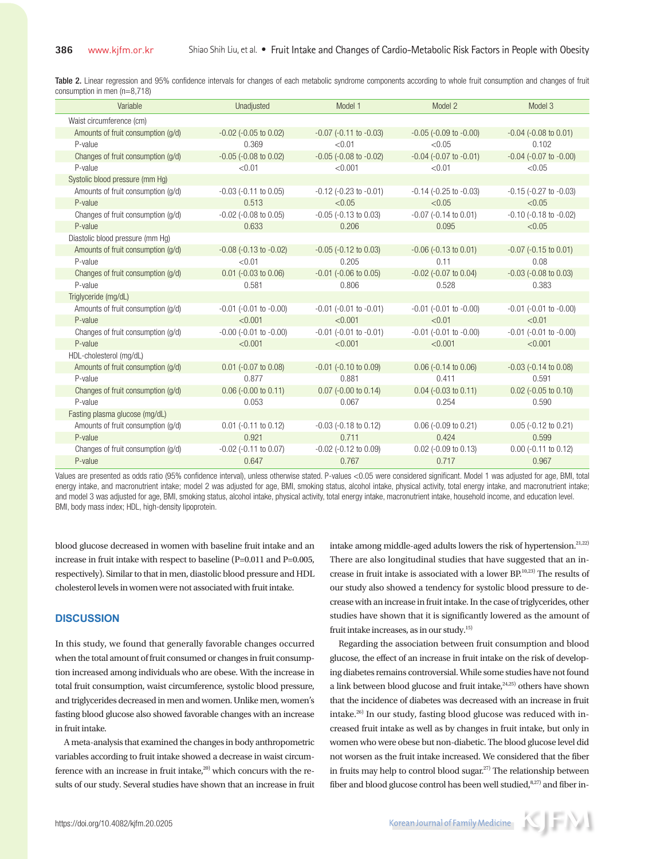Table 2. Linear regression and 95% confidence intervals for changes of each metabolic syndrome components according to whole fruit consumption and changes of fruit consumption in men (n=8,718)

| Variable                           | Unadjusted                     | Model 1                        | Model 2                        | Model 3                        |
|------------------------------------|--------------------------------|--------------------------------|--------------------------------|--------------------------------|
| Waist circumference (cm)           |                                |                                |                                |                                |
| Amounts of fruit consumption (g/d) | $-0.02$ ( $-0.05$ to $0.02$ )  | $-0.07$ ( $-0.11$ to $-0.03$ ) | $-0.05$ ( $-0.09$ to $-0.00$ ) | $-0.04$ ( $-0.08$ to $0.01$ )  |
| P-value                            | 0.369                          | < 0.01                         | < 0.05                         | 0.102                          |
| Changes of fruit consumption (g/d) | $-0.05$ $(-0.08$ to $0.02)$    | $-0.05$ $(-0.08$ to $-0.02)$   | $-0.04$ ( $-0.07$ to $-0.01$ ) | $-0.04$ ( $-0.07$ to $-0.00$ ) |
| P-value                            | < 0.01                         | < 0.001                        | < 0.01                         | < 0.05                         |
| Systolic blood pressure (mm Hg)    |                                |                                |                                |                                |
| Amounts of fruit consumption (g/d) | $-0.03$ $(-0.11$ to $0.05)$    | $-0.12$ ( $-0.23$ to $-0.01$ ) | $-0.14$ ( $-0.25$ to $-0.03$ ) | $-0.15$ $(-0.27$ to $-0.03)$   |
| P-value                            | 0.513                          | < 0.05                         | < 0.05                         | < 0.05                         |
| Changes of fruit consumption (g/d) | $-0.02$ $(-0.08$ to $0.05)$    | $-0.05$ $(-0.13$ to $0.03)$    | $-0.07$ $(-0.14$ to $0.01)$    | $-0.10$ ( $-0.18$ to $-0.02$ ) |
| P-value                            | 0.633                          | 0.206                          | 0.095                          | < 0.05                         |
| Diastolic blood pressure (mm Hg)   |                                |                                |                                |                                |
| Amounts of fruit consumption (q/d) | $-0.08$ ( $-0.13$ to $-0.02$ ) | $-0.05$ ( $-0.12$ to $0.03$ )  | $-0.06$ ( $-0.13$ to $0.01$ )  | $-0.07$ ( $-0.15$ to $0.01$ )  |
| P-value                            | < 0.01                         | 0.205                          | 0.11                           | 0.08                           |
| Changes of fruit consumption (g/d) | $0.01$ (-0.03 to 0.06)         | $-0.01$ $(-0.06$ to $0.05)$    | $-0.02$ ( $-0.07$ to $0.04$ )  | $-0.03$ ( $-0.08$ to $0.03$ )  |
| P-value                            | 0.581                          | 0.806                          | 0.528                          | 0.383                          |
| Triglyceride (mg/dL)               |                                |                                |                                |                                |
| Amounts of fruit consumption (q/d) | $-0.01$ $(-0.01$ to $-0.00)$   | $-0.01$ $(-0.01$ to $-0.01)$   | $-0.01$ $(-0.01$ to $-0.00)$   | $-0.01$ $(-0.01$ to $-0.00)$   |
| P-value                            | < 0.001                        | < 0.001                        | < 0.01                         | < 0.01                         |
| Changes of fruit consumption (g/d) | $-0.00$ $(-0.01$ to $-0.00)$   | $-0.01$ $(-0.01$ to $-0.01)$   | $-0.01$ $(-0.01$ to $-0.00)$   | $-0.01$ $(-0.01$ to $-0.00)$   |
| P-value                            | < 0.001                        | < 0.001                        | < 0.001                        | < 0.001                        |
| HDL-cholesterol (mg/dL)            |                                |                                |                                |                                |
| Amounts of fruit consumption (q/d) | $0.01$ (-0.07 to 0.08)         | $-0.01$ $(-0.10$ to $0.09)$    | $0.06$ (-0.14 to 0.06)         | $-0.03$ $(-0.14$ to $0.08)$    |
| P-value                            | 0.877                          | 0.881                          | 0.411                          | 0.591                          |
| Changes of fruit consumption (g/d) | $0.06$ (-0.00 to 0.11)         | $0.07$ (-0.00 to 0.14)         | $0.04$ (-0.03 to 0.11)         | $0.02$ (-0.05 to 0.10)         |
| P-value                            | 0.053                          | 0.067                          | 0.254                          | 0.590                          |
| Fasting plasma glucose (mg/dL)     |                                |                                |                                |                                |
| Amounts of fruit consumption (g/d) | $0.01$ (-0.11 to 0.12)         | $-0.03$ $(-0.18$ to $0.12)$    | $0.06$ (-0.09 to 0.21)         | $0.05$ (-0.12 to 0.21)         |
| P-value                            | 0.921                          | 0.711                          | 0.424                          | 0.599                          |
| Changes of fruit consumption (g/d) | $-0.02$ ( $-0.11$ to $0.07$ )  | $-0.02$ ( $-0.12$ to $0.09$ )  | $0.02$ (-0.09 to 0.13)         | $0.00$ (-0.11 to 0.12)         |
| P-value                            | 0.647                          | 0.767                          | 0.717                          | 0.967                          |

Values are presented as odds ratio (95% confidence interval), unless otherwise stated. P-values <0.05 were considered significant. Model 1 was adjusted for age, BMI, total energy intake, and macronutrient intake; model 2 was adjusted for age, BMI, smoking status, alcohol intake, physical activity, total energy intake, and macronutrient intake; and model 3 was adjusted for age, BMI, smoking status, alcohol intake, physical activity, total energy intake, macronutrient intake, household income, and education level. BMI, body mass index; HDL, high-density lipoprotein.

blood glucose decreased in women with baseline fruit intake and an increase in fruit intake with respect to baseline (P=0.011 and P=0.005, respectively). Similar to that in men, diastolic blood pressure and HDL cholesterol levels in women were not associated with fruit intake.

## **DISCUSSION**

In this study, we found that generally favorable changes occurred when the total amount of fruit consumed or changes in fruit consumption increased among individuals who are obese. With the increase in total fruit consumption, waist circumference, systolic blood pressure, and triglycerides decreased in men and women. Unlike men, women's fasting blood glucose also showed favorable changes with an increase in fruit intake.

A meta-analysis that examined the changes in body anthropometric variables according to fruit intake showed a decrease in waist circumference with an increase in fruit intake, $20$ ) which concurs with the results of our study. Several studies have shown that an increase in fruit

intake among middle-aged adults lowers the risk of hypertension.<sup>21,22)</sup> There are also longitudinal studies that have suggested that an increase in fruit intake is associated with a lower BP.10,23) The results of our study also showed a tendency for systolic blood pressure to decrease with an increase in fruit intake. In the case of triglycerides, other studies have shown that it is significantly lowered as the amount of fruit intake increases, as in our study.<sup>15)</sup>

Regarding the association between fruit consumption and blood glucose, the effect of an increase in fruit intake on the risk of developing diabetes remains controversial. While some studies have not found a link between blood glucose and fruit intake, $24,25$ ) others have shown that the incidence of diabetes was decreased with an increase in fruit intake.26) In our study, fasting blood glucose was reduced with increased fruit intake as well as by changes in fruit intake, but only in women who were obese but non-diabetic. The blood glucose level did not worsen as the fruit intake increased. We considered that the fiber in fruits may help to control blood sugar.<sup>27)</sup> The relationship between fiber and blood glucose control has been well studied, $8,27)$  and fiber in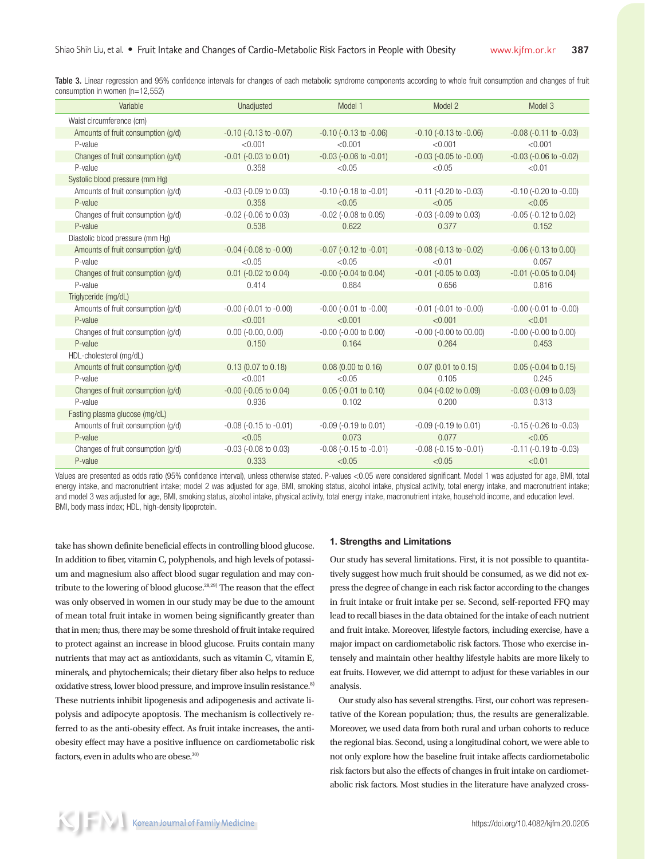Table 3. Linear regression and 95% confidence intervals for changes of each metabolic syndrome components according to whole fruit consumption and changes of fruit consumption in women (n=12,552)

| Variable                           | Unadjusted                     | Model 1                        | Model 2                        | Model 3                        |
|------------------------------------|--------------------------------|--------------------------------|--------------------------------|--------------------------------|
| Waist circumference (cm)           |                                |                                |                                |                                |
| Amounts of fruit consumption (q/d) | $-0.10$ $(-0.13$ to $-0.07)$   | $-0.10$ $(-0.13$ to $-0.06)$   | $-0.10$ $(-0.13$ to $-0.06$ )  | $-0.08$ $(-0.11$ to $-0.03)$   |
| P-value                            | < 0.001                        | < 0.001                        | < 0.001                        | < 0.001                        |
| Changes of fruit consumption (g/d) | $-0.01$ $(-0.03$ to $0.01)$    | $-0.03$ ( $-0.06$ to $-0.01$ ) | $-0.03$ ( $-0.05$ to $-0.00$ ) | $-0.03$ ( $-0.06$ to $-0.02$ ) |
| P-value                            | 0.358                          | < 0.05                         | < 0.05                         | < 0.01                         |
| Systolic blood pressure (mm Hq)    |                                |                                |                                |                                |
| Amounts of fruit consumption (g/d) | $-0.03$ ( $-0.09$ to $0.03$ )  | $-0.10$ ( $-0.18$ to $-0.01$ ) | $-0.11$ $(-0.20$ to $-0.03)$   | $-0.10$ $(-0.20$ to $-0.00)$   |
| P-value                            | 0.358                          | < 0.05                         | < 0.05                         | < 0.05                         |
| Changes of fruit consumption (g/d) | $-0.02$ $(-0.06$ to $0.03)$    | $-0.02$ ( $-0.08$ to $0.05$ )  | $-0.03$ $(-0.09$ to $0.03)$    | $-0.05$ $(-0.12$ to $0.02)$    |
| P-value                            | 0.538                          | 0.622                          | 0.377                          | 0.152                          |
| Diastolic blood pressure (mm Hq)   |                                |                                |                                |                                |
| Amounts of fruit consumption (g/d) | $-0.04$ $(-0.08$ to $-0.00)$   | $-0.07$ $(-0.12$ to $-0.01)$   | $-0.08$ ( $-0.13$ to $-0.02$ ) | $-0.06$ ( $-0.13$ to $0.00$ )  |
| P-value                            | < 0.05                         | < 0.05                         | < 0.01                         | 0.057                          |
| Changes of fruit consumption (g/d) | $0.01$ (-0.02 to 0.04)         | $-0.00$ ( $-0.04$ to $0.04$ )  | $-0.01$ ( $-0.05$ to 0.03)     | $-0.01$ ( $-0.05$ to $0.04$ )  |
| P-value                            | 0.414                          | 0.884                          | 0.656                          | 0.816                          |
| Triglyceride (mg/dL)               |                                |                                |                                |                                |
| Amounts of fruit consumption (g/d) | $-0.00$ ( $-0.01$ to $-0.00$ ) | $-0.00$ ( $-0.01$ to $-0.00$ ) | $-0.01$ ( $-0.01$ to $-0.00$ ) | $-0.00$ ( $-0.01$ to $-0.00$ ) |
| P-value                            | < 0.001                        | < 0.001                        | < 0.001                        | < 0.01                         |
| Changes of fruit consumption (g/d) | $0.00$ (-0.00, 0.00)           | $-0.00$ $(-0.00$ to $0.00)$    | $-0.00$ $(-0.00$ to $00.00)$   | $-0.00$ ( $-0.00$ to $0.00$ )  |
| P-value                            | 0.150                          | 0.164                          | 0.264                          | 0.453                          |
| HDL-cholesterol (mg/dL)            |                                |                                |                                |                                |
| Amounts of fruit consumption (q/d) | $0.13$ (0.07 to 0.18)          | $0.08$ (0.00 to 0.16)          | $0.07$ (0.01 to 0.15)          | $0.05$ (-0.04 to 0.15)         |
| P-value                            | < 0.001                        | < 0.05                         | 0.105                          | 0.245                          |
| Changes of fruit consumption (g/d) | $-0.00$ ( $-0.05$ to $0.04$ )  | $0.05$ (-0.01 to 0.10)         | $0.04$ (-0.02 to 0.09)         | $-0.03$ ( $-0.09$ to $0.03$ )  |
| P-value                            | 0.936                          | 0.102                          | 0.200                          | 0.313                          |
| Fasting plasma glucose (mg/dL)     |                                |                                |                                |                                |
| Amounts of fruit consumption (q/d) | $-0.08$ ( $-0.15$ to $-0.01$ ) | $-0.09$ $(-0.19$ to $0.01)$    | $-0.09$ $(-0.19$ to $0.01)$    | $-0.15$ $(-0.26$ to $-0.03)$   |
| P-value                            | < 0.05                         | 0.073                          | 0.077                          | < 0.05                         |
| Changes of fruit consumption (g/d) | $-0.03$ $(-0.08$ to $0.03)$    | $-0.08$ ( $-0.15$ to $-0.01$ ) | $-0.08$ ( $-0.15$ to $-0.01$ ) | $-0.11$ $(-0.19$ to $-0.03)$   |
| P-value                            | 0.333                          | < 0.05                         | < 0.05                         | < 0.01                         |

Values are presented as odds ratio (95% confidence interval), unless otherwise stated. P-values <0.05 were considered significant. Model 1 was adjusted for age, BMI, total energy intake, and macronutrient intake; model 2 was adjusted for age, BMI, smoking status, alcohol intake, physical activity, total energy intake, and macronutrient intake; and model 3 was adjusted for age, BMI, smoking status, alcohol intake, physical activity, total energy intake, macronutrient intake, household income, and education level. BMI, body mass index; HDL, high-density lipoprotein.

take has shown definite beneficial effects in controlling blood glucose. In addition to fiber, vitamin C, polyphenols, and high levels of potassium and magnesium also affect blood sugar regulation and may contribute to the lowering of blood glucose. $^{28,29)}$  The reason that the effect was only observed in women in our study may be due to the amount of mean total fruit intake in women being significantly greater than that in men; thus, there may be some threshold of fruit intake required to protect against an increase in blood glucose. Fruits contain many nutrients that may act as antioxidants, such as vitamin C, vitamin E, minerals, and phytochemicals; their dietary fiber also helps to reduce oxidative stress, lower blood pressure, and improve insulin resistance.<sup>8)</sup> These nutrients inhibit lipogenesis and adipogenesis and activate lipolysis and adipocyte apoptosis. The mechanism is collectively referred to as the anti-obesity effect. As fruit intake increases, the antiobesity effect may have a positive influence on cardiometabolic risk factors, even in adults who are obese.<sup>30)</sup>

# **1. Strengths and Limitations**

Our study has several limitations. First, it is not possible to quantitatively suggest how much fruit should be consumed, as we did not express the degree of change in each risk factor according to the changes in fruit intake or fruit intake per se. Second, self-reported FFQ may lead to recall biases in the data obtained for the intake of each nutrient and fruit intake. Moreover, lifestyle factors, including exercise, have a major impact on cardiometabolic risk factors. Those who exercise intensely and maintain other healthy lifestyle habits are more likely to eat fruits. However, we did attempt to adjust for these variables in our analysis.

Our study also has several strengths. First, our cohort was representative of the Korean population; thus, the results are generalizable. Moreover, we used data from both rural and urban cohorts to reduce the regional bias. Second, using a longitudinal cohort, we were able to not only explore how the baseline fruit intake affects cardiometabolic risk factors but also the effects of changes in fruit intake on cardiometabolic risk factors. Most studies in the literature have analyzed cross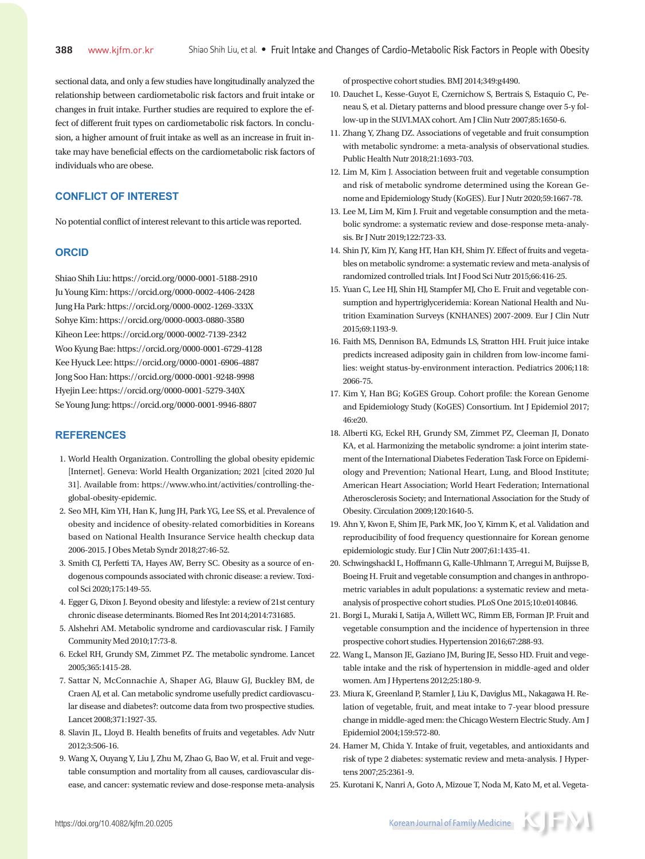sectional data, and only a few studies have longitudinally analyzed the relationship between cardiometabolic risk factors and fruit intake or changes in fruit intake. Further studies are required to explore the effect of different fruit types on cardiometabolic risk factors. In conclusion, a higher amount of fruit intake as well as an increase in fruit intake may have beneficial effects on the cardiometabolic risk factors of individuals who are obese.

# **CONFLICT OF INTEREST**

No potential conflict of interest relevant to this article was reported.

## **ORCID**

Shiao Shih Liu: https://orcid.org/0000-0001-5188-2910 Ju Young Kim: https://orcid.org/0000-0002-4406-2428 Jung Ha Park: https://orcid.org/0000-0002-1269-333X Sohye Kim: https://orcid.org/0000-0003-0880-3580 Kiheon Lee: https://orcid.org/0000-0002-7139-2342 Woo Kyung Bae: https://orcid.org/0000-0001-6729-4128 Kee Hyuck Lee: https://orcid.org/0000-0001-6906-4887 Jong Soo Han: https://orcid.org/0000-0001-9248-9998 Hyejin Lee: https://orcid.org/0000-0001-5279-340X Se Young Jung: https://orcid.org/0000-0001-9946-8807

# **REFERENCES**

- 1. World Health Organization. Controlling the global obesity epidemic [Internet]. Geneva: World Health Organization; 2021 [cited 2020 Jul 31]. Available from: https://www.who.int/activities/controlling-theglobal-obesity-epidemic.
- 2. Seo MH, Kim YH, Han K, Jung JH, Park YG, Lee SS, et al. Prevalence of obesity and incidence of obesity-related comorbidities in Koreans based on National Health Insurance Service health checkup data 2006-2015. J Obes Metab Syndr 2018;27:46-52.
- 3. Smith CJ, Perfetti TA, Hayes AW, Berry SC. Obesity as a source of endogenous compounds associated with chronic disease: a review. Toxicol Sci 2020;175:149-55.
- 4. Egger G, Dixon J. Beyond obesity and lifestyle: a review of 21st century chronic disease determinants. Biomed Res Int 2014;2014:731685.
- 5. Alshehri AM. Metabolic syndrome and cardiovascular risk. J Family Community Med 2010;17:73-8.
- 6. Eckel RH, Grundy SM, Zimmet PZ. The metabolic syndrome. Lancet 2005;365:1415-28.
- 7. Sattar N, McConnachie A, Shaper AG, Blauw GJ, Buckley BM, de Craen AJ, et al. Can metabolic syndrome usefully predict cardiovascular disease and diabetes?: outcome data from two prospective studies. Lancet 2008;371:1927-35.
- 8. Slavin JL, Lloyd B. Health benefits of fruits and vegetables. Adv Nutr 2012;3:506-16.
- 9. Wang X, Ouyang Y, Liu J, Zhu M, Zhao G, Bao W, et al. Fruit and vegetable consumption and mortality from all causes, cardiovascular disease, and cancer: systematic review and dose-response meta-analysis

of prospective cohort studies. BMJ 2014;349:g4490.

- 10. Dauchet L, Kesse-Guyot E, Czernichow S, Bertrais S, Estaquio C, Peneau S, et al. Dietary patterns and blood pressure change over 5-y follow-up in the SU.VI.MAX cohort. Am J Clin Nutr 2007;85:1650-6.
- 11. Zhang Y, Zhang DZ. Associations of vegetable and fruit consumption with metabolic syndrome: a meta-analysis of observational studies. Public Health Nutr 2018;21:1693-703.
- 12. Lim M, Kim J. Association between fruit and vegetable consumption and risk of metabolic syndrome determined using the Korean Genome and Epidemiology Study (KoGES). Eur J Nutr 2020;59:1667-78.
- 13. Lee M, Lim M, Kim J. Fruit and vegetable consumption and the metabolic syndrome: a systematic review and dose-response meta-analysis. Br J Nutr 2019;122:723-33.
- 14. Shin JY, Kim JY, Kang HT, Han KH, Shim JY. Effect of fruits and vegetables on metabolic syndrome: a systematic review and meta-analysis of randomized controlled trials. Int J Food Sci Nutr 2015;66:416-25.
- 15. Yuan C, Lee HJ, Shin HJ, Stampfer MJ, Cho E. Fruit and vegetable consumption and hypertriglyceridemia: Korean National Health and Nutrition Examination Surveys (KNHANES) 2007-2009. Eur J Clin Nutr 2015;69:1193-9.
- 16. Faith MS, Dennison BA, Edmunds LS, Stratton HH. Fruit juice intake predicts increased adiposity gain in children from low-income families: weight status-by-environment interaction. Pediatrics 2006;118: 2066-75.
- 17. Kim Y, Han BG; KoGES Group. Cohort profile: the Korean Genome and Epidemiology Study (KoGES) Consortium. Int J Epidemiol 2017; 46:e20.
- 18. Alberti KG, Eckel RH, Grundy SM, Zimmet PZ, Cleeman JI, Donato KA, et al. Harmonizing the metabolic syndrome: a joint interim statement of the International Diabetes Federation Task Force on Epidemiology and Prevention; National Heart, Lung, and Blood Institute; American Heart Association; World Heart Federation; International Atherosclerosis Society; and International Association for the Study of Obesity. Circulation 2009;120:1640-5.
- 19. Ahn Y, Kwon E, Shim JE, Park MK, Joo Y, Kimm K, et al. Validation and reproducibility of food frequency questionnaire for Korean genome epidemiologic study. Eur J Clin Nutr 2007;61:1435-41.
- 20. Schwingshackl L, Hoffmann G, Kalle-Uhlmann T, Arregui M, Buijsse B, Boeing H. Fruit and vegetable consumption and changes in anthropometric variables in adult populations: a systematic review and metaanalysis of prospective cohort studies. PLoS One 2015;10:e0140846.
- 21. Borgi L, Muraki I, Satija A, Willett WC, Rimm EB, Forman JP. Fruit and vegetable consumption and the incidence of hypertension in three prospective cohort studies. Hypertension 2016;67:288-93.
- 22. Wang L, Manson JE, Gaziano JM, Buring JE, Sesso HD. Fruit and vegetable intake and the risk of hypertension in middle-aged and older women. Am J Hypertens 2012;25:180-9.
- 23. Miura K, Greenland P, Stamler J, Liu K, Daviglus ML, Nakagawa H. Relation of vegetable, fruit, and meat intake to 7-year blood pressure change in middle-aged men: the Chicago Western Electric Study. Am J Epidemiol 2004;159:572-80.
- 24. Hamer M, Chida Y. Intake of fruit, vegetables, and antioxidants and risk of type 2 diabetes: systematic review and meta-analysis. J Hypertens 2007;25:2361-9.
- 25. Kurotani K, Nanri A, Goto A, Mizoue T, Noda M, Kato M, et al. Vegeta-